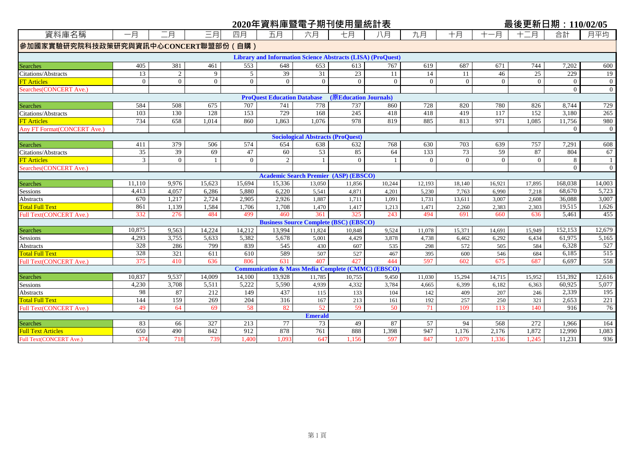|                                     |          |                |          |                |                                    |                                          | 2020年資料庫暨電子期刊使用量統計表                                                |          |          |                |                | 最後更新日期: 110/02/05 |                |                |
|-------------------------------------|----------|----------------|----------|----------------|------------------------------------|------------------------------------------|--------------------------------------------------------------------|----------|----------|----------------|----------------|-------------------|----------------|----------------|
| 資料庫名稱                               | 一月       | 二月             | 三月       | 四月             | 五月                                 | 六月                                       | 七月                                                                 | 八月       | 九月       | 十月             | 十一月            | 十二月               | 合計             | 月平均            |
| 参加國家實驗研究院科技政策研究與資訊中心CONCERT聯盟部份(自購) |          |                |          |                |                                    |                                          |                                                                    |          |          |                |                |                   |                |                |
|                                     |          |                |          |                |                                    |                                          | <b>Library and Information Science Abstracts (LISA) (ProQuest)</b> |          |          |                |                |                   |                |                |
| <b>Searches</b>                     | 405      | 381            | 461      | 553            | 648                                | 653                                      | 613                                                                | 767      | 619      | 687            | 671            | 744               | 7,202          | 600            |
| <b>Citations/Abstracts</b>          | 13       | 2              | 9        | 5              | 39                                 | 31                                       | 23                                                                 | 11       | 14       | 11             | 46             | 25                | 229            | 19             |
| <b>FT Articles</b>                  | $\Omega$ | $\theta$       | $\Omega$ | $\theta$       | $\theta$                           | $\theta$                                 | $\Omega$                                                           | $\theta$ | $\theta$ | $\Omega$       | $\theta$       | $\theta$          | $\theta$       | $\overline{0}$ |
| Searches(CONCERT Ave.)              |          |                |          |                |                                    |                                          |                                                                    |          |          |                |                |                   | $\overline{0}$ | $\theta$       |
|                                     |          |                |          |                | <b>ProQuest Education Database</b> |                                          | (原Education Journals)                                              |          |          |                |                |                   |                |                |
| <b>Searches</b>                     | 584      | 508            | 675      | 707            | 741                                | 778                                      | 737                                                                | 860      | 728      | 820            | 780            | 826               | 8,744          | 729            |
| Citations/Abstracts                 | 103      | 130            | 128      | 153            | 729                                | 168                                      | 245                                                                | 418      | 418      | 419            | 117            | 152               | 3,180          | 265            |
| <b>FT</b> Articles                  | 734      | 658            | 1,014    | 860            | 1,863                              | 1,076                                    | 978                                                                | 819      | 885      | 813            | 971            | 1,085             | 11,756         | 980            |
| <b>Any FT Format (CONCERT Ave.)</b> |          |                |          |                |                                    |                                          |                                                                    |          |          |                |                |                   | $\Omega$       | $\overline{0}$ |
|                                     |          |                |          |                |                                    | <b>Sociological Abstracts (ProQuest)</b> |                                                                    |          |          |                |                |                   |                |                |
| Searches                            | 411      | 379            | 506      | 574            | 654                                | 638                                      | 632                                                                | 768      | 630      | 703            | 639            | 757               | 7,291          | 608            |
| <b>Citations/Abstracts</b>          | 35       | 39             | 69       | 47             | 60                                 | 53                                       | 85                                                                 | 64       | 133      | 73             | 59             | 87                | 804            | 67             |
| <b>FT</b> Articles                  | 3        | $\overline{0}$ |          | $\overline{0}$ | 2                                  |                                          | $\Omega$                                                           |          | $\Omega$ | $\overline{0}$ | $\overline{0}$ | $\theta$          | 8              | $\mathbf{1}$   |
| Searches (CONCERT Ave.)             |          |                |          |                |                                    |                                          |                                                                    |          |          |                |                |                   | $\overline{0}$ | $\overline{0}$ |
|                                     |          |                |          |                |                                    |                                          | <b>Academic Search Premier (ASP) (EBSCO)</b>                       |          |          |                |                |                   |                |                |
| <b>Searches</b>                     | 11,110   | 9,976          | 15,623   | 15,694         | 15,336                             | 13,050                                   | 11,856                                                             | 10,244   | 12,193   | 18,140         | 16,921         | 17,895            | 168,038        | 14,003         |
| Sessions                            | 4,413    | 4,057          | 6,286    | 5,880          | 6,220                              | 5,541                                    | 4,871                                                              | 4,201    | 5,230    | 7,763          | 6,990          | 7,218             | 68,670         | 5,723          |
| Abstracts                           | 670      | 1,217          | 2,724    | 2,905          | 2,926                              | 1,887                                    | 1,711                                                              | 1,091    | 1,731    | 13,611         | 3,007          | 2,608             | 36,088         | 3,007          |
| <b>Total Full Text</b>              | 861      | 1,139          | 1,584    | 1,706          | 1,708                              | 1,470                                    | 1,417                                                              | 1,213    | 1,471    | 2,260          | 2,383          | 2,303             | 19,515         | 1,626          |
| Full Text(CONCERT Ave.)             | 332      | 276            | 484      | 499            | 460                                | 361                                      | 325                                                                | 243      | 494      | 691            | 660            | 636               | 5.461          | 455            |
|                                     |          |                |          |                |                                    |                                          | <b>Business Source Complete (BSC) (EBSCO)</b>                      |          |          |                |                |                   |                |                |
| <b>Searches</b>                     | 10,875   | 9,563          | 14,224   | 14,212         | 13,994                             | 11,824                                   | 10,848                                                             | 9,524    | 11,078   | 15,371         | 14,691         | 15,949            | 152,153        | 12,679         |
| Sessions                            | 4,293    | 3,755          | 5,633    | 5,382          | 5,678                              | 5,001                                    | 4,429                                                              | 3,878    | 4,738    | 6,462          | 6,292          | 6,434             | 61,975         | 5,165          |
| <b>Abstracts</b>                    | 328      | 286            | 799      | 839            | 545                                | 430                                      | 607                                                                | 535      | 298      | 572            | 505            | 584               | 6,328          | 527            |
| <b>Total Full Text</b>              | 328      | 321            | 611      | 610            | 589                                | 507                                      | 527                                                                | 467      | 395      | 600            | 546            | 684               | 6,185          | 515            |
| Full Text(CONCERT Ave.)             | 375      | 410            | 636      | 806            | 631                                | 407                                      | 427                                                                | 444      | 597      | 602            | 675            | 687               | 6.697          | 558            |
|                                     |          |                |          |                |                                    |                                          | <b>Communication &amp; Mass Media Complete (CMMC) (EBSCO)</b>      |          |          |                |                |                   |                |                |
| <b>Searches</b>                     | 10,837   | 9,537          | 14,009   | 14,100         | 13,928                             | 11,785                                   | 10,755                                                             | 9,450    | 11,030   | 15,294         | 14,715         | 15,952            | 151,392        | 12,616         |
| Sessions                            | 4,230    | 3,708          | 5,511    | 5,222          | 5,590                              | 4,939                                    | 4,332                                                              | 3,784    | 4,665    | 6,399          | 6,182          | 6,363             | 60,925         | 5,077          |
| <b>Abstracts</b>                    | 98       | 87             | 212      | 149            | 437                                | 115                                      | 133                                                                | 104      | 142      | 409            | 207            | 246               | 2,339          | 195            |
| <b>Total Full Text</b>              | 144      | 159            | 269      | 204            | 316                                | 167                                      | 213                                                                | 161      | 192      | 257            | 250            | 321               | 2,653          | 221            |
| Full Text(CONCERT Ave.)             | 49       | 64             | 69       | 58             | 82                                 | 52                                       | 59                                                                 | 50       | 71       | 109            | 113            | 140               | 916            | 76             |
|                                     |          |                |          |                |                                    | <b>Emerald</b>                           |                                                                    |          |          |                |                |                   |                |                |
| <b>Searches</b>                     | 83       | 66             | 327      | 213            | 77                                 | 73                                       | 49                                                                 | 87       | 57       | 94             | 568            | 272               | 1,966          | 164            |
| <b>Full Text Articles</b>           | 650      | 490            | 842      | 912            | 878                                | 761                                      | 888                                                                | 1,398    | 947      | 1,176          | 2,176          | 1,872             | 12,990         | 1,083          |
| Full Text(CONCERT Ave.)             | 374      | 718            | 739      | 1.400          | 1.093                              | 647                                      | 1,156                                                              | 597      | 847      | 1,079          | 1,336          | 1,245             | 11,231         | 936            |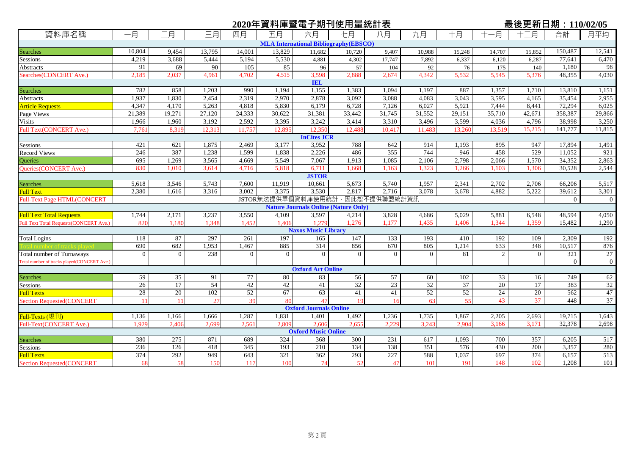|                                                |          |          |        |                 |                    |                               | 2020年資料庫暨電子期刊使用量統計表                          |                |                |        |                | 最後更新日期: 110/02/05 |                |                 |
|------------------------------------------------|----------|----------|--------|-----------------|--------------------|-------------------------------|----------------------------------------------|----------------|----------------|--------|----------------|-------------------|----------------|-----------------|
| 資料庫名稱                                          | 一月       | 二月       | 三月     | 四月              | 五月                 | 六月                            | 七月                                           | 八月             | 九月             | 十月     | 一月             | 十二月               | 合計             | 月平均             |
|                                                |          |          |        |                 |                    |                               | <b>MLA International Bibliography(EBSCO)</b> |                |                |        |                |                   |                |                 |
| <b>Searches</b>                                | 10,804   | 9,454    | 13,795 | 14,001          | 13,829             | 11,682                        | 10,720                                       | 9,407          | 10,988         | 15,248 | 14,707         | 15,852            | 150,487        | 12,541          |
| Sessions                                       | 4,219    | 3,688    | 5,444  | 5,194           | 5,530              | 4,881                         | 4,302                                        | 17,747         | 7,892          | 6,337  | 6,120          | 6,287             | 77,641         | 6,470           |
| Abstracts                                      | 91       | 69       | 90     | 105             | 85                 | 96                            | 57                                           | 104            | 92             | 76     | 175            | 140               | 1,180          | 98              |
| Searches(CONCERT Ave.)                         | 2,185    | 2,037    | 4,961  | 4.702           | 4,515              | 3,598                         | 2,888                                        | 2,674          | 4,342          | 5,532  | 5,545          | 5,376             | 48,355         | 4,030           |
|                                                |          |          |        |                 |                    | <b>IEL</b>                    |                                              |                |                |        |                |                   |                |                 |
| <b>Searches</b>                                | 782      | 858      | 1,203  | 990             | 1,194              | 1,155                         | 1,383                                        | 1,094          | 1,197          | 887    | 1,357          | 1,710             | 13,810         | 1,151           |
| Abstracts                                      | 1,937    | 1,830    | 2,454  | 2,319           | 2,970              | 2,878                         | 3,092                                        | 3,088          | 4,083          | 3,043  | 3,595          | 4,165             | 35,454         | 2,955           |
| <b>Article Requests</b>                        | 4,347    | 4,170    | 5,263  | 4,818           | 5,830              | 6,179                         | 6,728                                        | 7,126          | 6,027          | 5,921  | 7,444          | 8,441             | 72,294         | 6,025           |
| Page Views                                     | 21,389   | 19,271   | 27,120 | 24,333          | 30,622             | 31,381                        | 33,442                                       | 31,745         | 31,552         | 29,151 | 35,710         | 42,671            | 358,387        | 29,866          |
| <b>Visits</b>                                  | 1,966    | 1,960    | 3,192  | 2,592           | 3,395              | 3,242                         | 3,414                                        | 3,310          | 3,496          | 3,599  | 4,036          | 4,796             | 38,998         | 3,250           |
| Full Text(CONCERT Ave.)                        | 7,761    | 8,319    | 12,313 | 11,757          | 12,895             | 12.350<br><b>InCites JCR</b>  | 12,488                                       | 10.417         | 11.483         | 13,260 | 13,519         | 15,215            | 141,777        | 11,815          |
| Sessions                                       | 421      | 621      | 1,875  | 2,469           | 3,177              | 3,952                         | 788                                          | 642            | 914            | 1,193  | 895            | 947               | 17,894         | 1,491           |
| <b>Record Views</b>                            | 246      | 387      | 1,238  | 1,599           | 1,838              | 2,226                         | 486                                          | 355            | 744            | 946    | 458            | 529               | 11,052         | 921             |
| <b>Oueries</b>                                 | 695      | 1,269    | 3,565  | 4,669           | 5,549              | 7,067                         | 1,913                                        | 1,085          | 2,106          | 2,798  | 2,066          | 1,570             | 34,352         | 2,863           |
| <b>Oueries (CONCERT Ave.)</b>                  | 830      | 1.010    | 3,614  | 4,716           | 5,818              | 6,711                         | 1,668                                        | 1.163          | 1.323          | 1,266  | 1,103          | 1.306             | 30,528         | 2,544           |
|                                                |          |          |        |                 |                    | <b>JSTOR</b>                  |                                              |                |                |        |                |                   |                |                 |
| <b>Searches</b>                                | 5,618    | 3,546    | 5,743  | 7,600           | 11,919             | 10,661                        | 5,673                                        | 5,740          | 1,957          | 2,341  | 2,702          | 2,706             | 66,206         | 5,517           |
| <b>Full Text</b>                               | 2,380    | 1,616    | 3,316  | 3,002           | 3,375              | 3,530                         | 2,817                                        | 2,716          | 3,078          | 3,678  | 4,882          | 5,222             | 39,612         | 3,301           |
| <b>Full-Text Page HTML(CONCERT</b>             |          |          |        |                 | JSTOR無法提供單個資料庫使用統計 |                               |                                              | · 因此恕不提供聯盟統計資訊 |                |        |                |                   | $\Omega$       | $\overline{0}$  |
|                                                |          |          |        |                 |                    |                               | <b>Nature Journals Online (Nature Only)</b>  |                |                |        |                |                   |                |                 |
| <b>Full Text Total Requests</b>                | 1,744    | 2,171    | 3,237  | 3,550           | 4,109              | 3,597                         | 4,214                                        | 3,828          | 4,686          | 5,029  | 5,881          | 6,548             | 48,594         | 4,050           |
| <b>Full Text Total Requests (CONCERT Ave.)</b> | 820      | 1.180    | 1,348  | 1.452           | 1,406              | 1.279                         | 1,276                                        | 1.177          | 1,435          | 1.406  | 1,344          | 1,359             | 15,482         | 1,290           |
|                                                |          |          |        |                 |                    | <b>Naxos Music Library</b>    |                                              |                |                |        |                |                   |                |                 |
| <b>Total Logins</b>                            | 118      | 87       | 297    | 261             | 197                | 165                           | 147                                          | 133            | 193            | 410    | 192            | 109               | 2,309          | 192             |
|                                                | 690      | 682      | 1,953  | 1,467           | 885                | 314                           | 856                                          | 670            | 805            | 1,214  | 633            | 348               | 10,517         | 876             |
| <b>Total number of Turnaways</b>               | $\Omega$ | $\theta$ | 238    | $\Omega$        | $\Omega$           | $\Omega$                      | $\Omega$                                     | $\Omega$       | $\overline{0}$ | 81     | $\overline{2}$ | $\Omega$          | 321            | 27              |
| Total number of tracks played(CONCERT Ave.)    |          |          |        |                 |                    | <b>Oxford Art Online</b>      |                                              |                |                |        |                |                   | $\overline{0}$ | $\overline{0}$  |
| <b>Searches</b>                                | 59       | 35       | 91     | 77              | 80                 | 83                            | 56                                           | 57             | 60             | 102    | 33             | 16                | 749            | 62              |
| Sessions                                       | 26       | 17       | 54     | 42              | 42                 | 41                            | 32                                           | 23             | 32             | 37     | 20             | 17                | 383            | $\overline{32}$ |
| <b>Full Texts</b>                              | 28       | 20       | 102    | $\overline{52}$ | 67                 | 63                            | 41                                           | 41             | 52             | 52     | 24             | 20                | 562            | 47              |
| <b>Section Requested(CONCERT</b>               | 11       | 11       | 27     | 39              | 80                 | 47                            | 19                                           | 16             | 63             | 55     | 43             | 37                | 448            | 37              |
|                                                |          |          |        |                 |                    | <b>Oxford Journals Online</b> |                                              |                |                |        |                |                   |                |                 |
| Full-Texts (現刊)                                | 1,136    | 1,166    | 1,666  | 1,287           | 1,831              | 1,401                         | 1,492                                        | 1,236          | 1,735          | 1,867  | 2,205          | 2,693             | 19,715         | 1,643           |
| Full-Text(CONCERT Ave.)                        | 1,929    | 2,406    | 2,699  | 2,561           | 2,809              | 2.606                         | 2,65                                         | 2,229          | 3,243          | 2,904  | 3,166          | 3.171             | 32,378         | 2,698           |
|                                                |          |          |        |                 |                    | <b>Oxford Music Online</b>    |                                              |                |                |        |                |                   |                |                 |
| Searches                                       | 380      | 275      | 871    | 689             | 324                | 368                           | 300                                          | 231            | 617            | 1,093  | 700            | 357               | 6,205          | 517             |
| <b>Sessions</b>                                | 236      | 126      | 418    | 345             | 193                | 210                           | 134                                          | 138            | 351            | 576    | 430            | 200               | 3,357          | 280             |
| <b>Full Texts</b>                              | 374      | 292      | 949    | 643             | 321                | 362                           | 293                                          | 227            | 588            | 1,037  | 697            | 374               | 6,157          | 513             |
| <b>Section Requested(CONCERT</b>               | 68       | 58       | 150    | 117             | 100                | 74                            | 52                                           | 47             | 101            | 191    | 148            | 102               | 1.208          | 101             |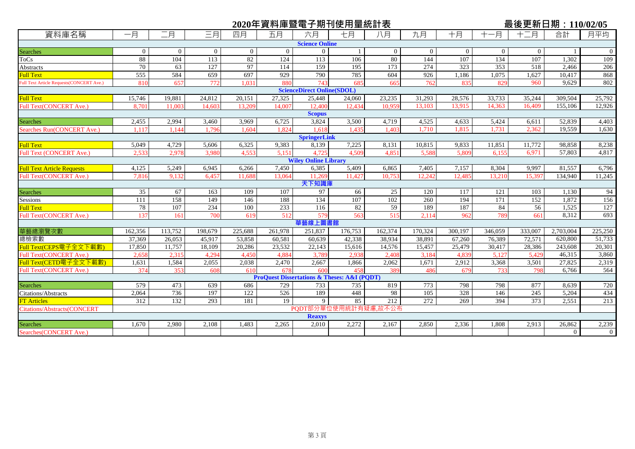|                                                 |                                                            |          |          |                  |                  |                                   | 2020年資料庫暨電子期刊使用量統計表                                        |                  |          |                |          | 最後更新日期: 110/02/05 |                |                     |
|-------------------------------------------------|------------------------------------------------------------|----------|----------|------------------|------------------|-----------------------------------|------------------------------------------------------------|------------------|----------|----------------|----------|-------------------|----------------|---------------------|
| 資料庫名稱                                           | 一月                                                         | 二月       | 三月       | 四月               | 五月               | 六月                                | 七月                                                         | 八月               | 九月       | 十月             | -月       | 十二月               | 合計             | 月平均                 |
|                                                 |                                                            |          |          |                  |                  | <b>Science Online</b>             |                                                            |                  |          |                |          |                   |                |                     |
| <b>Searches</b>                                 | $\Omega$                                                   | $\theta$ | $\Omega$ | $\overline{0}$   | $\Omega$         | $\overline{0}$                    |                                                            | $\overline{0}$   | $\Omega$ | $\overline{0}$ | $\Omega$ | $\Omega$          |                | $\overline{0}$      |
| ToCs                                            | 88                                                         | 104      | 113      | 82               | 124              | 113                               | 106                                                        | 80               | 144      | 107            | 134      | 107               | 1,302          | 109                 |
| Abstracts                                       | 70                                                         | 63       | 127      | 97               | 114              | 159                               | 195                                                        | $\overline{173}$ | 274      | 323            | 353      | 518               | 2,466          | 206                 |
| <b>Full Text</b>                                | 555                                                        | 584      | 659      | 697              | 929              | 790                               | 785                                                        | 604              | 926      | 1,186          | 1,075    | 1,627             | 10,417         | 868                 |
| <b>Full Text Article Requests(CONCERT Ave.)</b> | 810                                                        | 657      | 772      | 1.031            | 880              | 743                               | 685                                                        | 665              | 762      | 835            | 829      | 960               | 9.629          | 802                 |
|                                                 |                                                            |          |          |                  |                  | <b>ScienceDirect Online(SDOL)</b> |                                                            |                  |          |                |          |                   |                |                     |
| <b>Full Text</b>                                | 15,746                                                     | 19,881   | 24,812   | 20,151           | 27,325           | 25,448                            | 24,060                                                     | 23,235           | 31,293   | 28,576         | 33,733   | 35,244            | 309,504        | $25,\overline{792}$ |
| Full Text(CONCERT Ave.)                         | 8.701                                                      | 11,003   | 14,603   | 13.209           | 14,007           | 12,400                            | 12.434                                                     | 10.959           | 13,103   | 13,915         | 14,363   | 16,409            | 155,106        | 12,926              |
|                                                 |                                                            |          |          |                  |                  | <b>Scopus</b>                     |                                                            |                  |          |                |          |                   |                |                     |
| <b>Searches</b>                                 | 2,455                                                      | 2,994    | 3,460    | 3,969            | 6,725            | 3,824                             | 3,500                                                      | 4,719            | 4,525    | 4,633          | 5,424    | 6,611             | 52,839         | 4,403               |
| Searches Run(CONCERT Ave.)                      | 1.117                                                      | 1.144    | 1,796    | 1.604            | 1,824            | 1.618                             | 1.435                                                      | 1.403            | 1,710    | 1,815          | 1,731    | 2,362             | 19,559         | 1,630               |
|                                                 |                                                            |          |          |                  |                  | <b>SpringerLink</b>               |                                                            |                  |          |                |          |                   |                |                     |
| <b>Full Text</b>                                | 5,049                                                      | 4,729    | 5,606    | 6,325            | 9,383            | 8,139                             | 7,225                                                      | 8,131            | 10,815   | 9,833          | 11,851   | 11,772            | 98,858         | 8,238               |
| Full Text (CONCERT Ave.)                        | 2.533                                                      | 2.978    | 3.980    | 4.553            | 5.151            | 4.725                             | 4.509                                                      | 4.851            | 5,588    | 5.809          | 6.155    | 6.971             | 57,803         | 4,817               |
|                                                 |                                                            |          |          |                  |                  | <b>Wiley Online Library</b>       |                                                            |                  |          |                |          |                   |                |                     |
| <b>Full Text Article Requests</b>               | 4,125                                                      | 5,249    | 6,945    | 6,266            | 7,450            | 6,385                             | 5,409                                                      | 6,865            | 7,405    | 7,157          | 8,304    | 9,997             | 81,557         | 6,796               |
| <b>Full Text(CONCERT Ave.)</b>                  | 7,816                                                      | 9.132    | 6.457    | 11.688           | 13.064           | 11.269                            | 11.427                                                     | 10.753           | 12.242   | 12.485         | 13.210   | 15,397            | 134.940        | 11,245              |
|                                                 |                                                            |          |          |                  |                  | 天下知識庫                             |                                                            |                  |          |                |          |                   |                |                     |
| Searches                                        | 35                                                         | 67       | 163      | 109              | 107              | 97                                | 66                                                         | 25               | 120      | 117            | 121      | 103               | 1,130          | 94                  |
| Sessions                                        | 111                                                        | 158      | 149      | 146              | 188              | 134                               | 107                                                        | 102              | 260      | 194            | 171      | 152               | 1.872          | 156                 |
| <b>Full Text</b>                                | 78                                                         | 107      | 234      | 100              | 233              | 116                               | 82                                                         | 59               | 189      | 187            | 84       | 56                | 1,525          | 127                 |
| <b>Full Text(CONCERT Ave.)</b>                  | 137                                                        | 161      | 700      | 619              | 512              | 579                               | 563                                                        | 515              | 2,114    | 962            | 789      | 661               | 8,312          | 693                 |
|                                                 |                                                            |          |          |                  |                  | 華藝線上圖書館                           |                                                            |                  |          |                |          |                   |                |                     |
| 華藝總瀏覽次數                                         | 162,356                                                    | 113,752  | 198,679  | 225,688          | 261,978          | 251,837                           | 176,753                                                    | 162,374          | 170,324  | 300,197        | 346,059  | 333,007           | 2,703,004      | 225,250             |
| 總檢索數                                            | 37,369                                                     | 26,053   | 45,917   | 53,858           | 60,581           | 60,639                            | 42,338                                                     | 38,934           | 38,891   | 67,260         | 76,389   | 72,571            | 620,800        | 51,733              |
| Full Text(CEPS電子全文下載數)                          | 17,850                                                     | 11,757   | 18,109   | 20,286           | 23,532           | 22,143                            | 15,616                                                     | 14,576           | 15,457   | 25,479         | 30,417   | 28,386            | 243,608        | 20,301              |
| Full Text(CONCERT Ave.)                         | 2,658                                                      | 2,315    | 4,294    | 4,450            | 4,884            | 3,789                             | 2,938                                                      | 2,408            | 3,184    | 4,839          | 5,127    | 5,429             | 46,315         | 3,860               |
| Full Text(CETD電子全文下載數)                          | 1,631                                                      | 1,584    | 2,055    | 2,038            | 2,470            | 2,667                             | 1,866                                                      | 2,062            | 1,671    | 2,912          | 3,368    | 3,501             | 27,825         | 2,319               |
| Full Text(CONCERT Ave.)                         | 374                                                        | 353      | 608      | 610              | 678              | 600                               | 458                                                        | 389              | 486      | 679            | 733      | 798               | 6,766          | 564                 |
|                                                 |                                                            |          |          |                  |                  |                                   | <b>ProQuest Dissertations &amp; Theses: A&amp;I (PQDT)</b> |                  |          |                |          |                   |                |                     |
| <b>Searches</b>                                 | 579                                                        | 473      | 639      | 686              | 729              | 733                               | 735                                                        | 819              | 773      | 798            | 798      | 877               | 8,639          | 720                 |
| Citations/Abstracts                             | 2,064                                                      | 736      | 197      | $\overline{122}$ | $\overline{526}$ | 189                               | 448                                                        | 98               | 105      | 328            | 146      | 245               | 5,204          | 434                 |
| <b>FT</b> Articles                              | 312                                                        | 132      | 293      | 181              | 19               | 9                                 | 85                                                         | 212              | 272      | 269            | 394      | 373               | 2,551          | 213                 |
|                                                 | PODT部分單位使用統計有疑慮,故不公布<br><b>Citations/Abstracts(CONCERT</b> |          |          |                  |                  |                                   |                                                            |                  |          |                |          |                   |                |                     |
|                                                 |                                                            |          |          |                  |                  | <b>Reaxys</b>                     |                                                            |                  |          |                |          |                   |                |                     |
| <b>Searches</b>                                 | 1,670                                                      | 2,980    | 2,108    | 1,483            | 2,265            | 2,010                             | 2,272                                                      | 2,167            | 2,850    | 2,336          | 1,808    | 2,913             | 26,862         | 2,239               |
| Searches (CONCERT Ave.)                         |                                                            |          |          |                  |                  |                                   |                                                            |                  |          |                |          |                   | $\overline{0}$ | $\Omega$            |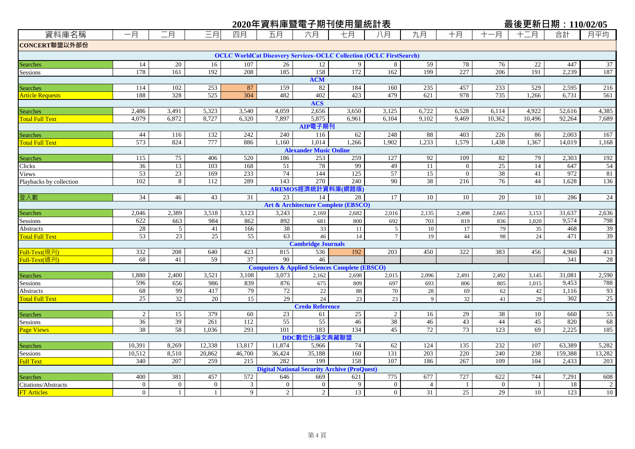|                                    |                |                |                |                         | 2020年資料庫暨電子期刊使用量統計表                                                        |                                     |           |                |                 |                  |                | 最後更新日期: 110/02/05 |                 |              |
|------------------------------------|----------------|----------------|----------------|-------------------------|----------------------------------------------------------------------------|-------------------------------------|-----------|----------------|-----------------|------------------|----------------|-------------------|-----------------|--------------|
| 資料庫名稱                              | 一月             | 二月             | 三月             | 四月                      | 五月                                                                         | 六月                                  | 七月        | 八月             | 九月              | 十月               | 一月<br>$^+$     | 十二月               | 合計              | 月平均          |
| CONCERT聯盟以外部份                      |                |                |                |                         |                                                                            |                                     |           |                |                 |                  |                |                   |                 |              |
|                                    |                |                |                |                         | <b>OCLC WorldCat Discovery Services-OCLC Collection (OCLC FirstSearch)</b> |                                     |           |                |                 |                  |                |                   |                 |              |
| Searches                           | 14             | 20             | 16             | 107                     | 26                                                                         | 12                                  | 9         | 8              | 59              | 78               | 76             | 22                | 447             | 37           |
| Sessions                           | 178            | 161            | 192            | 208                     | 185                                                                        | 158                                 | 172       | 162            | 199             | 227              | 206            | 191               | 2,239           | 187          |
|                                    |                |                |                |                         |                                                                            | <b>ACM</b>                          |           |                |                 |                  |                |                   |                 |              |
| <b>Searches</b>                    | 114            | 102            | 253            | 87                      | 159                                                                        | 82                                  | 184       | 160            | 235             | 457              | 233            | 529               | 2,595           | 216          |
| <b>Article Requests</b>            | 188            | 328            | 525            | 304                     | 482                                                                        | 402<br><b>ACS</b>                   | 423       | 479            | 621             | 978              | 735            | 1,266             | 6,731           | 561          |
|                                    | 2,486          | 3,491          | 5,323          | 3,540                   | 4,059                                                                      | 2,656                               | 3,650     | 3,125          | 6,722           | 6,528            | 6,114          | 4,922             | 52,616          | 4,385        |
| Searches<br><b>Total Full Text</b> | 4,079          | 6,872          | 8,727          | 6,320                   | 7,897                                                                      | 5,875                               | 6,961     | 6,104          | 9,102           | 9,469            | 10,362         | 10,496            | 92,264          | 7,689        |
|                                    |                |                |                |                         |                                                                            | AIP電子期刊                             |           |                |                 |                  |                |                   |                 |              |
| Searches                           | 44             | 116            | 132            | 242                     | 240                                                                        | 116                                 | 62        | 248            | 88              | 403              | 226            | 86                | 2,003           | 167          |
| <b>Total Full Text</b>             | 573            | 824            | 777            | 886                     | 1,160                                                                      | 1,014                               | 1,266     | 1,902          | 1,233           | 1,579            | 1,438          | 1,367             | 14,019          | 1,168        |
|                                    |                |                |                |                         |                                                                            | <b>Alexander Music Online</b>       |           |                |                 |                  |                |                   |                 |              |
| <b>Searches</b>                    | 115            | 75             | 406            | 520                     | 186                                                                        | 253                                 | 259       | 127            | 92              | 109              | 82             | 79                | 2,303           | 192          |
| Clicks                             | 36             | 13             | 103            | 168                     | 51                                                                         | 78                                  | 99        | 49             | $\overline{11}$ | $\boldsymbol{0}$ | 25             | 14                | 647             | 54           |
| Views                              | 53             | 23             | 169            | 233                     | 74                                                                         | 144                                 | 125       | 57             | 15              | $\mathbf{0}$     | 38             | 41                | 972             | 81           |
| Playbacks by collection            | 102            | 8              | 112            | 289                     | 143                                                                        | 270                                 | 240       | 90             | 38              | 216              | 76             | 44                | 1,628           | 136          |
|                                    |                |                |                |                         |                                                                            | AREMOS經濟統計資料庫(網路版)                  |           |                |                 |                  |                |                   |                 |              |
| 登入數                                | 34             | 46             | 43             | 31                      | 23                                                                         | 14                                  | 28        | 17             | 10              | 10               | 20             | 10                | 286             | 24           |
|                                    |                |                |                |                         |                                                                            | Art & Architecture Complete (EBSCO) |           |                |                 |                  |                |                   |                 |              |
| <b>Searches</b>                    | 2,046<br>622   | 2,389          | 3,518          | 3,123                   | 3,243                                                                      | 2,169                               | 2,682     | 2,016          | 2,135           | 2,498            | 2,665          | 3,153             | 31,637<br>9,574 | 2,636<br>798 |
| Sessions<br>Abstracts              | 28             | 663<br>5       | 984<br>41      | 862<br>166              | 892<br>38                                                                  | 681<br>33                           | 800<br>11 | 692<br>5       | 703<br>10       | 819<br>17        | 836<br>79      | 1,020<br>35       | 468             | 39           |
| <b>Total Full Text</b>             | 53             | 23             | 25             | 55                      | 63                                                                         | 46                                  | 14        | $\tau$         | 19              | $44\,$           | 98             | 24                | 471             | 39           |
|                                    |                |                |                |                         |                                                                            | <b>Cambridge Journals</b>           |           |                |                 |                  |                |                   |                 |              |
| Full-Text(現刋)                      | 332            | 208            | 640            | 423                     | 815                                                                        | 536                                 | 192       | 203            | 450             | 322              | 383            | 456               | 4,960           | 413          |
| Full-Text(過刋)                      | 68             | 41             | 59             | 37                      | 90                                                                         | 46                                  |           |                |                 |                  |                |                   | 341             | 28           |
|                                    |                |                |                |                         | <b>Computers &amp; Applied Sciences Complete (EBSCO)</b>                   |                                     |           |                |                 |                  |                |                   |                 |              |
| <b>Searches</b>                    | 1,880          | 2,400          | 3,521          | 3,108                   | 3,073                                                                      | 2,162                               | 2,698     | 2,015          | 2,096           | 2,491            | 2,492          | 3,145             | 31,081          | 2,590        |
| Sessions                           | 596            | 656            | 986            | 839                     | 876                                                                        | 675                                 | 809       | 697            | 693             | 806              | 805            | 1,015             | 9,453           | 788          |
| Abstracts                          | 68             | 99             | 417            | 79                      | $72\,$                                                                     | $22\,$                              | 88        | 70             | $28\,$          | 69               | 62             | 42                | 1,116           | 93           |
| <b>Total Full Text</b>             | 25             | 32             | 20             | 15                      | 29                                                                         | 24                                  | 23        | 23             | 9               | 32               | 41             | 29                | 302             | 25           |
|                                    |                |                |                |                         |                                                                            | <b>Credo Reference</b>              |           |                |                 |                  |                |                   |                 |              |
| <b>Searches</b>                    | $\overline{2}$ | 15             | 379            | 60                      | 23                                                                         | 61                                  | 25        | $\sqrt{2}$     | 16              | 29               | 38             | 10                | 660             | 55           |
| Sessions                           | 36<br>38       | 39<br>58       | 261<br>1.036   | 112<br>293              | 55<br>101                                                                  | 55<br>183                           | 46<br>134 | 38<br>45       | 46<br>72        | 43<br>73         | 44<br>123      | 45<br>69          | 820<br>2.225    | 68           |
| <b>Page Views</b>                  |                |                |                |                         |                                                                            | DDC數位化論文典藏聯盟                        |           |                |                 |                  |                |                   |                 | 185          |
|                                    | 10,391         | 8,269          | 12,338         | 13,817                  | 11,874                                                                     | 5,966                               | 74        | 62             | 124             | 135              | 232            | 107               | 63,389          | 5,282        |
| Searches<br>Sessions               | 10,512         | 8,510          | 20,862         | 46,700                  | 36,424                                                                     | 35,188                              | 160       | 131            | 203             | 220              | 240            | 238               | 159,388         | 13,282       |
| <b>Full Text</b>                   | 340            | 207            | 259            | 215                     | 282                                                                        | 199                                 | 158       | 107            | 186             | 267              | 109            | 104               | 2,433           | 203          |
|                                    |                |                |                |                         | <b>Digital National Security Archive (ProQuest)</b>                        |                                     |           |                |                 |                  |                |                   |                 |              |
| Searches                           | 400            | 381            | 457            | 572                     | 646                                                                        | 669                                 | 621       | 775            | 677             | 727              | 622            | 744               | 7,291           | 608          |
| <b>Citations/Abstracts</b>         | $\overline{0}$ | $\overline{0}$ | $\overline{0}$ | $\overline{\mathbf{3}}$ | $\overline{0}$                                                             | $\overline{0}$                      | 9         | $\mathbf{0}$   | $\overline{4}$  | -1               | $\overline{0}$ | -1                | 18              | 2            |
| <b>FT</b> Articles                 | $\overline{0}$ | $\mathbf{1}$   | $\mathbf{1}$   | 9                       | $\overline{2}$                                                             | $\overline{2}$                      | 13        | $\overline{0}$ | 31              | 25               | 29             | 10                | 123             | 10           |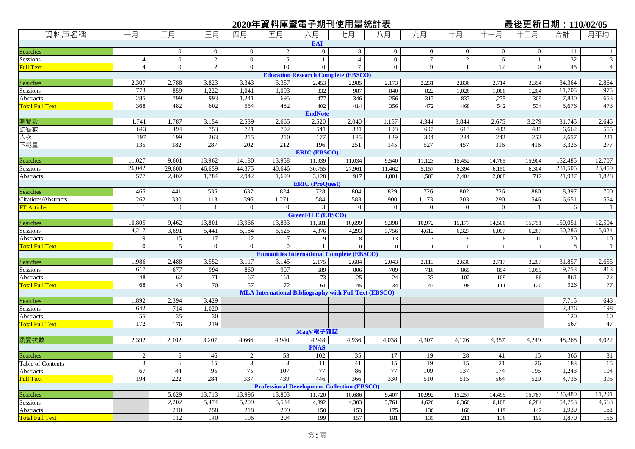|                                     |                      |                      |                      |                      |                    |                          | 2020年資料庫暨電子期刊使用量統計表                                          |                      |                   |                   |                   | <u>最後更新日期: 110/02/05</u> |                |                    |
|-------------------------------------|----------------------|----------------------|----------------------|----------------------|--------------------|--------------------------|--------------------------------------------------------------|----------------------|-------------------|-------------------|-------------------|--------------------------|----------------|--------------------|
| 資料庫名稱                               | 一月                   | 二月                   | 三月                   | 四月                   | 五月                 | 六月                       | 七月                                                           | 八月                   | 九月                | 十月                | -月                | 十二月                      | 合計             | 月平均                |
|                                     |                      |                      |                      |                      |                    | <b>EAI</b>               |                                                              |                      |                   |                   |                   |                          |                |                    |
| Searches                            |                      | $\overline{0}$       | $\overline{0}$       | $\mathbf{0}$         | $\overline{2}$     | $\overline{0}$           | 8                                                            | $\overline{0}$       | $\overline{0}$    | $\overline{0}$    | $\overline{0}$    | $\overline{0}$           | 11             |                    |
| Sessions                            | $\overline{4}$       | $\overline{0}$       | $\overline{2}$       | $\overline{0}$       | 5 <sup>5</sup>     | 1                        | $\overline{4}$                                               | $\overline{0}$       | $7\overline{ }$   | $\sqrt{2}$        | 6                 | -1                       | 32             | 3                  |
| <b>Full Text</b>                    | $\overline{4}$       | $\overline{0}$       | $\overline{2}$       | $\overline{0}$       | 10                 | $\overline{0}$           | $\tau$                                                       | $\overline{0}$       | 9                 | 1                 | 12                | $\mathbf{0}$             | 45             | $\overline{4}$     |
|                                     |                      |                      |                      |                      |                    |                          | <b>Education Research Complete (EBSCO)</b>                   |                      |                   |                   |                   |                          |                |                    |
| Searches<br>Sessions                | 2,307                | 2,788                | 3,823                | 3,343                | 3,357              | 2,453                    | 2,985                                                        | 2,173                | 2,231             | 2,836             | 2,714             | 3,354                    | 34,364         | 2,864              |
|                                     | 773                  | 859                  | 1,222                | 1,041                | 1,093              | 832                      | 987                                                          | 840                  | 822               | 1,026             | 1,006             | 1,204                    | 11,705         | 975                |
| Abstracts                           | 285<br>368           | 799<br>482           | 993                  | 1,241<br>554         | 695<br>482         | 477<br>402               | 346<br>414                                                   | 256<br>356           | 317<br>472        | 837               | 1,275             | 309<br>534               | 7,830<br>5,676 | 653<br>473         |
| <b>Total Full Text</b>              |                      |                      | 602                  |                      |                    | <b>EndNote</b>           |                                                              |                      |                   | 468               | 542               |                          |                |                    |
| 瀏覽數                                 | 1,741                | 1,787                | 3,154                | 2,539                | 2,665              | 2,520                    | 2,040                                                        | 1,157                | 4,344             | 3,844             | 2,675             | 3,279                    | 31,745         | 2,645              |
| 訪客數                                 | 643                  | 494                  | 753                  | 721                  | 792                | 541                      | 331                                                          | 198                  | 607               | 618               | 483               | 481                      | 6,662          | 555                |
| 人次                                  | 197                  | 199                  | 263                  | 215                  | 210                | 177                      | 185                                                          | 129                  | 304               | 284               | 242               | 252                      | 2,657          | 221                |
| 下載量                                 | 135                  | 182                  | 287                  | 202                  | 212                | 196                      | 251                                                          | 145                  | 527               | 457               | 316               | 416                      | 3,326          | 277                |
|                                     |                      |                      |                      |                      |                    | <b>ERIC (EBSCO)</b>      |                                                              |                      |                   |                   |                   |                          |                |                    |
| Searches                            | 11,027               | 9,601                | 13,962               | 14,180               | 13,958             | 11,939                   | 11,034                                                       | 9,540                | 11,123            | 15,452            | 14,765            | 15,904                   | 152,485        | 12,707             |
| Sessions                            | 26,042               | 29,600               | 46,659               | 44,375               | 40,646             | 30,755                   | 27,961                                                       | 11,462               | 5,157             | 6,394             | 6,150             | 6,304                    | 281,505        | 23,459             |
| Abstracts                           | 577                  | 2,402                | 1,784                | 2,942                | 1,699              | 3,128                    | 917                                                          | 1,801                | 1,503             | 2,404             | 2,068             | 712                      | 21,937         | 1,828              |
|                                     |                      |                      |                      |                      |                    | <b>ERIC</b> (ProQuest)   |                                                              |                      |                   |                   |                   |                          |                |                    |
| Searches                            | 465                  | 441                  | 535                  | 637                  | 824                | 728                      | 804                                                          | 829                  | 726               | 802               | 726               | 880                      | 8,397          | 700                |
| Citations/Abstracts                 | 262                  | 330                  | 113                  | 396                  | 1,271              | 584                      | 583                                                          | 900                  | 1,173             | 203               | 290               | 546                      | 6,651          | 554                |
| <b>FT Articles</b>                  |                      | $\theta$             |                      | $\overline{0}$       | $\Omega$           | 3                        | $\overline{0}$                                               | $\overline{0}$       | $\overline{0}$    | $\overline{0}$    | $\Omega$          |                          | 6              | -1                 |
|                                     |                      |                      |                      |                      |                    | <b>GreenFILE (EBSCO)</b> |                                                              |                      |                   |                   |                   |                          |                |                    |
| Searches<br>Sessions                | 10,805               | 9,462                | 13,801               | 13,966               | 13,833             | 11,681                   | 10,699                                                       | 9,398                | 10,972            | 15,177            | 14,506            | 15,751                   | 150,051        | 12,504             |
|                                     | 4,217                | 3,691                | 5,441                | 5,184                | 5,525              | 4,876                    | 4,293                                                        | 3,756                | 4,612             | 6,327             | 6,097             | 6,267                    | 60,286         | 5,024              |
| Abstracts<br><b>Total Full Text</b> | 9<br>$\overline{0}$  | 15<br>$\mathfrak{S}$ | 17<br>$\overline{0}$ | 12<br>$\overline{0}$ | $\tau$<br>$\Omega$ | 9                        | 8<br>$\overline{0}$                                          | 13<br>$\overline{0}$ | 3<br>$\mathbf{1}$ | 9<br>$\mathbf{0}$ | 8<br>$\mathbf{0}$ | 10                       | 120<br>8       | 10<br>$\mathbf{1}$ |
|                                     |                      |                      |                      |                      |                    |                          | <b>Humanities International Complete (EBSCO)</b>             |                      |                   |                   |                   |                          |                |                    |
| Searches                            | 1,986                | 2,488                | 3,552                | 3,117                | 3,145              | 2,175                    | 2,684                                                        | 2,043                | 2,113             | 2,630             | 2,717             | 3,207                    | 31,857         | 2,655              |
| Sessions                            | 617                  | 677                  | 994                  | 860                  | 907                | 689                      | 806                                                          | 709                  | 716               | 865               | 854               | 1,059                    | 9,753          | 813                |
| Abstracts                           | 48                   | 62                   | 71                   | 67                   | 161                | 73                       | 25                                                           | 24                   | 33                | 102               | 109               | 86                       | 861            | 72                 |
| <b>Total Full Text</b>              | 68                   | 143                  | 70                   | 57                   | 72                 | 61                       | 45                                                           | 34                   | 47                | 98                | 111               | 120                      | 926            | 77                 |
|                                     |                      |                      |                      |                      |                    |                          | <b>MLA International Bibliography with Full Text (EBSCO)</b> |                      |                   |                   |                   |                          |                |                    |
| Searches                            | 1,892                | 2,394                | 3,429                |                      |                    |                          |                                                              |                      |                   |                   |                   |                          | 7,715          | 643                |
| Sessions                            | 642                  | 714                  | 1,020                |                      |                    |                          |                                                              |                      |                   |                   |                   |                          | 2,376          | 198                |
| Abstracts                           | 55                   | 35                   | 30                   |                      |                    |                          |                                                              |                      |                   |                   |                   |                          | 120            | 10                 |
| <b>Total Full Text</b>              | 172                  | 176                  | 219                  |                      |                    |                          |                                                              |                      |                   |                   |                   |                          | 567            | 47                 |
|                                     |                      |                      |                      |                      |                    | MagV電子雜誌                 |                                                              |                      |                   |                   |                   |                          |                |                    |
| 瀏覽次數                                | 2,392                | 2,102                | 3,207                | 4,666                | 4,940              | 4,948                    | 4,936                                                        | 4,038                | 4,307             | 4,126             | 4,357             | 4,249                    | 48,268         | 4,022              |
|                                     |                      |                      |                      |                      |                    | <b>PNAS</b>              |                                                              |                      |                   |                   |                   |                          |                |                    |
| Searches                            | $\overline{2}$       | 6                    | 46                   | $\overline{2}$       | 53                 | 102                      | 35                                                           | 17                   | 19                | 28                | 41                | 15                       | 366            | 31                 |
| Table of Contents                   | $\mathfrak{Z}$<br>67 | 6                    | 15                   | $\mathfrak{Z}$<br>75 | 8<br>107           | 11<br>77                 | 41                                                           | 15<br>77             | 19                | 15<br>137         | 21<br>174         | 26                       | 183            | $\overline{15}$    |
| Abstracts<br><b>Full Text</b>       |                      | 44<br>222            | 95                   | 337                  | 439                | 446                      | 86<br>366                                                    | 330                  | 109<br>510        |                   |                   | 195<br>529               | 1,243          | 104                |
|                                     | 194                  |                      | 284                  |                      |                    |                          | <b>Professional Development Collection (EBSCO)</b>           |                      |                   | 515               | 564               |                          | 4,736          | 395                |
| Searches                            |                      | 5,629                | 13,713               | 13,996               | 13,803             | 11,720                   | 10,686                                                       | 9,407                | 10,992            | 15,257            | 14,499            | 15,787                   | 135,489        | 11,291             |
| Sessions                            |                      | 2,202                | 5,474                | 5,209                | 5,534              | 4,892                    | 4,303                                                        | 3,761                | 4,626             | 6,360             | 6,108             | 6,284                    | 54,753         | 4,563              |
| Abstracts                           |                      | 210                  | 258                  | 218                  | 209                | 150                      | 153                                                          | 175                  | 136               | 160               | 119               | 142                      | 1,930          | 161                |
| <b>Total Full Text</b>              |                      | 112                  | 140                  | 196                  | 204                | 199                      | 157                                                          | 181                  | 135               | 211               | 136               | 199                      | 1,870          | 156                |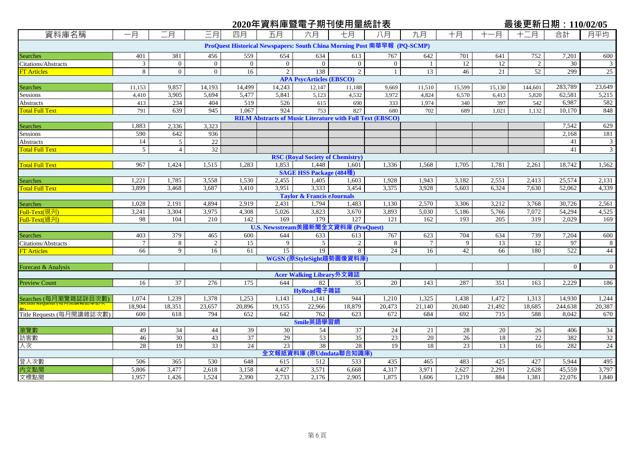# **2020年資料庫暨電子期刊使用量統計表 最後更新日期:110/02/05**

| 資料庫名稱                     | 一月              | 二月             | 三月              | 四月           | 五月                                                                      | 六月                                      | 七月                        | 八月              | 九月                    | 十月     | 十一月    | 十二月             | 合計                | 月平均            |
|---------------------------|-----------------|----------------|-----------------|--------------|-------------------------------------------------------------------------|-----------------------------------------|---------------------------|-----------------|-----------------------|--------|--------|-----------------|-------------------|----------------|
|                           |                 |                |                 |              | ProQuest Historical Newspapers: South China Morning Post 南華早報 (PQ-SCMP) |                                         |                           |                 |                       |        |        |                 |                   |                |
| Searches                  | 401             | 381            | 456             | 559          | 654                                                                     | 634                                     | 613                       | 767             | 642                   | 701    | 641    | 752             | 7,201             | 600            |
| Citations/Abstracts       | $\mathbf{3}$    | $\overline{0}$ | $\mathbf{0}$    | $\mathbf{0}$ | $\overline{0}$                                                          | $\Omega$                                | $\overline{0}$            | $\mathbf{0}$    | $\overline{1}$        | 12     | 12     | 2               | $\overline{30}$   | $\mathfrak{Z}$ |
| <b>FT</b> Articles        | $\overline{8}$  | $\overline{0}$ | $\overline{0}$  | 16           | $\overline{2}$                                                          | 138                                     | $\overline{2}$            | $\mathbf{1}$    | 13                    | 46     | 21     | $\overline{52}$ | 299               | 25             |
|                           |                 |                |                 |              |                                                                         | <b>APA PsycArticles (EBSCO)</b>         |                           |                 |                       |        |        |                 |                   |                |
| Searches<br>Sessions      | 11,153          | 9,857          | 14,193          | 14,499       | 14,243                                                                  | 12,147                                  | 11,188                    | 9,669           | 11,510                | 15,599 | 15,130 | 144,601         | 283,789           | 23,649         |
|                           | 4,410           | 3,905          | 5,694           | 5,477        | 5,841                                                                   | 5,123                                   | 4,532                     | 3,972           | 4,824                 | 6,570  | 6,413  | 5,820           | 62,581            | 5,215          |
| Abstracts                 | 413             | 234            | 404             | 519          | 526                                                                     | 615                                     | 690                       | 333             | 1,974                 | 340    | 397    | 542             | 6,987             | 582            |
| <b>Total Full Text</b>    | 791             | 639            | 945             | 1,067        | 924                                                                     | 753                                     | 827                       | 680             | 702                   | 689    | 1,021  | 1.132           | 10,170            | 848            |
|                           |                 |                |                 |              | <b>RILM Abstracts of Music Literature with Full Text (EBSCO)</b>        |                                         |                           |                 |                       |        |        |                 |                   |                |
| Searches                  | 1,883           | 2,336          | 3,323           |              |                                                                         |                                         |                           |                 |                       |        |        |                 | 7,542             | 629            |
| Sessions                  | 590             | 642            | 936             |              |                                                                         |                                         |                           |                 |                       |        |        |                 | 2,168             | 181            |
| <b>Abstracts</b>          | 14              | $\overline{5}$ | 22              |              |                                                                         |                                         |                           |                 |                       |        |        |                 | 41                | $\mathfrak{Z}$ |
| <b>Total Full Text</b>    | $\mathfrak{S}$  | $\overline{4}$ | $\overline{32}$ |              |                                                                         |                                         |                           |                 |                       |        |        |                 | 41                | $\overline{3}$ |
|                           |                 |                |                 |              |                                                                         | <b>RSC (Royal Society of Chemistry)</b> |                           |                 |                       |        |        |                 |                   |                |
| <b>Total Full Text</b>    | 967             | 1,424          | 1,515           | 1,283        | 1,853                                                                   | 1,448                                   | 1,601                     | 1,336           | 1,568                 | 1,705  | 1,781  | 2,261           | 18,742            | 1,562          |
|                           |                 |                |                 |              |                                                                         | <b>SAGE HSS Package (484種)</b>          |                           |                 |                       |        |        |                 |                   |                |
| Searches                  | 1,221           | 1,785          | 3,558           | 1,530        | 2,455                                                                   | 1,405                                   | 1,603                     | 1,928           | 1,943                 | 3,182  | 2,551  | 2,413           | 25,574            | 2,131          |
| Total Full Text           | 3,899           | 3,468          | 3,687           | 3,410        | 3,951                                                                   | 3,333                                   | 3,454                     | 3,375           | 3,928                 | 5,603  | 6,324  | 7,630           | 52,062            | 4,339          |
|                           |                 |                |                 |              |                                                                         | <b>Taylor &amp; Francis eJournals</b>   |                           |                 |                       |        |        |                 |                   |                |
| Searches                  | 1,028           | 2,191          | 4,894           | 2,919        | 2,431                                                                   | 1,794                                   | 1,483                     | 1,130           | 2,570                 | 3,306  | 3,212  | 3,768           | 30,726            | 2,561          |
| Full-Text(現刋)             | 3,241           | 3,304          | 3,975           | 4,308        | 5,026                                                                   | 3,823                                   | 3,670                     | 3,893           | 5,030                 | 5,186  | 5,766  | 7,072           | 54,294            | 4,525          |
| Full-Text(過刋)             | 98              | 104            | 210             | 142          | 169                                                                     | 179                                     | 127                       | 121             | 162                   | 193    | 205    | 319             | 2,029             | 169            |
|                           |                 |                |                 |              | U.S. Newsstream美國新聞全文資料庫 (ProQuest)                                     |                                         |                           |                 |                       |        |        |                 |                   |                |
| Searches                  | 403             | 379            | 465             | 600          | 644                                                                     | 633                                     | 613                       | 767             | 623                   | 704    | 634    | 739             | 7,204             | 600            |
| Citations/Abstracts       | $7\phantom{.0}$ | 8<br>9         | 2               | 15<br>61     | 9<br>15                                                                 | 5<br>19                                 | $\overline{2}$            | 8<br>24         | $7\phantom{.0}$<br>16 | 9      | 13     | 12<br>180       | 97<br>522         | $\,8\,$<br>44  |
| <b>FT</b> Articles        | 66              |                | 16              |              |                                                                         |                                         | $\,8\,$                   |                 |                       | 42     | 66     |                 |                   |                |
|                           |                 |                |                 |              |                                                                         |                                         | WGSN (原StyleSight趨勢圖像資料庫) |                 |                       |        |        |                 |                   |                |
| Forecast & Analysis       |                 |                |                 |              |                                                                         |                                         |                           |                 |                       |        |        |                 | $\overline{0}$    | $\overline{0}$ |
|                           |                 | 37             |                 |              | 644                                                                     | Acer Walking Library外文雜誌                |                           | 20              |                       | 287    |        |                 |                   |                |
| <b>Preview Count</b>      | 16              |                | 276             | 175          |                                                                         | 82<br>HyRead電子雜誌                        | 35                        |                 | 143                   |        | 351    | 163             | 2,229             | 186            |
|                           | 1,074           | 1,239          | 1,378           | 1,253        | 1,143                                                                   | 1,141                                   | 944                       | 1,210           | 1,325                 | 1,438  | 1,472  |                 |                   | 1,244          |
| Searches (每月瀏覽雜誌詳目次數)     | 18,904          | 18,351         | 23,657          | 20,896       | 19,155                                                                  | 22,966                                  | 18,879                    | 20,473          | 21,140                | 20,040 | 21,492 | 1,313<br>18,685 | 14,930<br>244,638 | 20,387         |
| Title Requests (每月閱讀雜誌次數) | 600             | 618            | 794             | 652          | 642                                                                     | 762                                     | 623                       | 672             | 684                   | 692    | 715    | 588             | 8,042             | 670            |
|                           |                 |                |                 |              |                                                                         | Smile英語學習網                              |                           |                 |                       |        |        |                 |                   |                |
| 瀏覽數                       | 49              | 34             | 44              | 39           | $\overline{30}$                                                         | 54                                      | $\overline{37}$           | $\overline{24}$ | 21                    | 28     | 20     | 26              | 406               | 34             |
| 訪客數                       | 46              | 30             | 43              | 37           | 29                                                                      | 53                                      | $\overline{35}$           | $\overline{23}$ | 20                    | 26     | 18     | 22              | 382               | 32             |
| 人次                        | 28              | 19             | 33              | 24           | 23                                                                      | 38                                      | 28                        | 19              | 18                    | 23     | 13     | 16              | 282               | 24             |
|                           |                 |                |                 |              |                                                                         |                                         | 全文報紙資料庫 (原Udndata聯合知識庫)   |                 |                       |        |        |                 |                   |                |
| 登入次數                      | 506             | 365            | 530             | 648          | 615                                                                     | 512                                     | 533                       | 435             | 465                   | 483    | 425    | 427             | 5,944             | 495            |
|                           | 5,806           | 3,477          | 2,618           | 3,158        | 4,427                                                                   | 3,571                                   | 6,668                     | 4,317           | 3,971                 | 2,627  | 2,291  | 2,628           | 45,559            | 3,797          |
| 内文點閱<br>文標點閱              | 1,957           | 1,426          | 1,524           | 2,390        | 2,733                                                                   | 2,176                                   | 2,905                     | 1,875           | 1,606                 | 1,219  | 884    | 1,381           | 22,076            | 1,840          |
|                           |                 |                |                 |              |                                                                         |                                         |                           |                 |                       |        |        |                 |                   |                |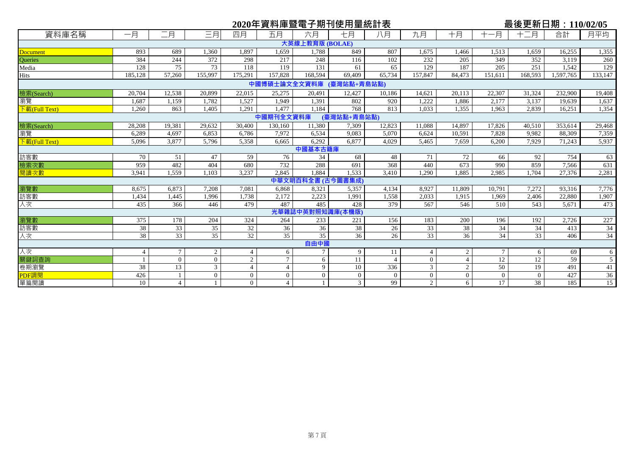|                                                 |                |                 |          |                |                |                 | 2020年資料庫暨電子期刊使用量統計表 |                |                |                |          |          | 最後更新日期:110/02/05 |         |
|-------------------------------------------------|----------------|-----------------|----------|----------------|----------------|-----------------|---------------------|----------------|----------------|----------------|----------|----------|------------------|---------|
| 資料庫名稱                                           | 一月             | 二月              | 三月       | 四月             | 五月             | 六月              | 七月                  | 八月             | 九月             | 十月             | 十一月      | 十二月      | 合計               | 月平均     |
|                                                 |                |                 |          |                |                | 大英線上教育版 (BOLAE) |                     |                |                |                |          |          |                  |         |
| <b>Document</b>                                 | 893            | 689             | 1,360    | 1,897          | 1,659          | 1,788           | 849                 | 807            | 1,675          | 1,466          | 1,513    | 1,659    | 16,255           | 1,355   |
| Queries                                         | 384            | 244             | 372      | 298            | 217            | 248             | 116                 | 102            | 232            | 205            | 349      | 352      | 3,119            | 260     |
| Media                                           | 128            | 75              | 73       | 118            | 119            | 131             | 61                  | 65             | 129            | 187            | 205      | 251      | 1,542            | 129     |
| Hits                                            | 185,128        | 57,260          | 155,997  | 175,291        | 157,828        | 168,594         | 69.409              | 65,734         | 157,847        | 84,473         | 151.611  | 168.593  | 1,597,765        | 133,147 |
|                                                 |                |                 |          |                | 中國博碩士論文全文資料庫   |                 | (臺灣站點+青島站點)         |                |                |                |          |          |                  |         |
| 檢索(Search)                                      | 20,704         | 12,538          | 20,899   | 22,015         | 25,275         | 20,491          | 12,427              | 10.186         | 14,621         | 20,113         | 22,307   | 31,324   | 232,900          | 19,408  |
| 瀏覽                                              | 1.687          | 1,159           | 1.782    | 1.527          | 1.949          | 1,391           | 802                 | 920            | 1.222          | 1.886          | 2.177    | 3,137    | 19.639           | 1,637   |
| $\sqrt{\frac{1}{1 + \frac{1}{2}}}}$ (Full Text) | 1.260          | 863             | 1.405    | 1,291          | 1,477          | 1.184           | 768                 | 813            | 1.033          | 1,355          | 1.963    | 2,839    | 16,251           | 1,354   |
|                                                 |                |                 |          |                | 中國期刊全文資料庫      |                 | (臺灣站點+青島站點)         |                |                |                |          |          |                  |         |
| 檢索(Search)                                      | 28,208         | 19,381          | 29,632   | 30,400         | 130,160        | 11,380          | 7,309               | 12,823         | 11.088         | 14,897         | 17,826   | 40,510   | 353,614          | 29,468  |
| 瀏覽                                              | 6,289          | 4,697           | 6,853    | 6,786          | 7,972          | 6,534           | 9,083               | 5,070          | 6,624          | 10,591         | 7,828    | 9,982    | 88,309           | 7,359   |
| 下載(Full Text)                                   | 5,096          | 3,877           | 5,796    | 5,358          | 6.665          | 6,292           | 6,877               | 4,029          | 5,465          | 7,659          | 6,200    | 7,929    | 71,243           | 5,937   |
|                                                 |                |                 |          |                |                | 中國基本古籍庫         |                     |                |                |                |          |          |                  |         |
| 訪客數                                             | 70             | 51              | 47       | 59             | 76             | 34              | 68                  | 48             | 71             | 72             | 66       | 92       | 754              | 63      |
| 檢索次數                                            | 959            | 482             | 404      | 680            | 732            | 288             | 691                 | 368            | 440            | 673            | 990      | 859      | 7,566            | 631     |
| 閱讀次數                                            | 3,941          | 1,559           | 1.103    | 3,237          | 2.845          | 1.884           | 1,533               | 3,410          | 1.290          | 1,885          | 2,985    | 1.704    | 27,376           | 2,281   |
|                                                 |                |                 |          |                |                | 中華文明百科全書 (古今)   | 圖書集成)               |                |                |                |          |          |                  |         |
| 瀏覽數                                             | 8,675          | 6,873           | 7,208    | 7.081          | 6,868          | 8,321           | 5,357               | 4.134          | 8.927          | 11.809         | 10.791   | 7,272    | 93,316           | 7,776   |
| 訪客數                                             | 1,434          | 1,445           | 1,996    | 1,738          | 2,172          | 2,223           | 1,991               | 1,558          | 2,033          | 1,915          | 1,969    | 2,406    | 22,880           | 1,907   |
| 人次                                              | 435            | 366             | 446      | 479            | 487            | 485             | 428                 | 379            | 567            | 546            | 510      | 543      | 5,671            | 473     |
|                                                 |                |                 |          |                |                | 光華雜誌中英對照知識      | (本機版)               |                |                |                |          |          |                  |         |
| 瀏覽數                                             | 375            | 178             | 204      | 324            | 264            | 233             | 221                 | 156            | 183            | 200            | 196      | 192      | 2,726            | 227     |
| 訪客數                                             | 38             | 33              | 35       | 32             | 36             | 36              | 38                  | 26             | 33             | 38             | 34       | 34       | 413              | 34      |
| 人次                                              | 38             | 33              | 35       | 32             | 35             | 35              | 36                  | 26             | 33             | 36             | 34       | 33       | 406              | 34      |
|                                                 |                |                 |          |                |                | 自由中國            |                     |                |                |                |          |          |                  |         |
| 人次                                              | $\overline{4}$ | $7\phantom{.0}$ | 2        | $\overline{4}$ | 6              | $\overline{7}$  | 9                   | 11             | $\overline{4}$ | 2              | $\tau$   | 6        | 69               | 6       |
| 關鍵詞查詢                                           |                | $\theta$        | $\theta$ | 2              | $\overline{7}$ | 6               | 11                  | $\overline{4}$ | $\Omega$       | $\overline{4}$ | 12       | 12       | 59               | 5       |
| 卷期瀏覽                                            | 38             | 13              | 3        | $\overline{4}$ | $\overline{4}$ | 9               | 10                  | 336            | 3 <sup>7</sup> | 2              | 50       | 19       | 491              | 41      |
| PDF調閱                                           | 426            |                 | $\theta$ | $\overline{0}$ | $\Omega$       | $\overline{0}$  | $\Omega$            | $\Omega$       | $\theta$       | $\mathbf{0}$   | $\Omega$ | $\theta$ | 427              | 36      |
| 單篇閱讀                                            | 10             | $\overline{4}$  |          | $\overline{0}$ | $\overline{4}$ | $\mathbf{1}$    | $\overline{3}$      | 99             | $\overline{2}$ | 6              | 17       | 38       | 185              | 15      |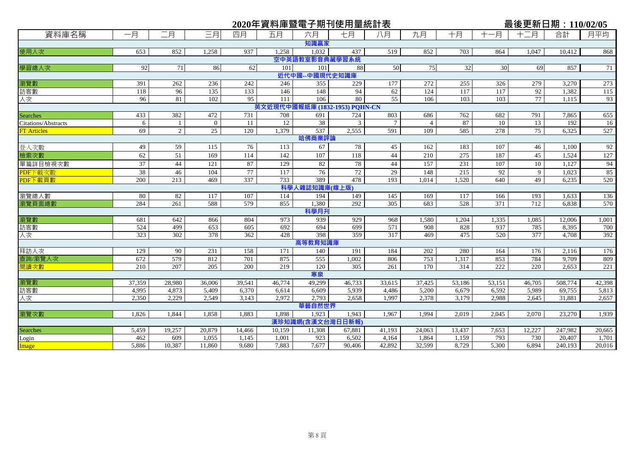|                            |              |                      |                 |                        | 2020年資料庫暨電子期刊使用量統計表            |                  |                 |                        |                       |                 |                        | 最後更新日期: 110/02/05     |                   |                 |
|----------------------------|--------------|----------------------|-----------------|------------------------|--------------------------------|------------------|-----------------|------------------------|-----------------------|-----------------|------------------------|-----------------------|-------------------|-----------------|
| 資料庫名稱                      | 一月           | 二月                   | 三月              | 四月                     | 五月                             | 六月               | 七月              | 八月                     | 九月                    | 十月              | -月                     | 十二月                   | 合計                | 月平均             |
|                            |              |                      |                 |                        |                                | 知識贏家             |                 |                        |                       |                 |                        |                       |                   |                 |
| 使用人次                       | 653          | 852                  | 1,258           | 937                    | 1,258                          | 1,032            | 437             | 519                    | 852                   | 703             | 864                    | 1,047                 | 10,412            | 868             |
|                            |              |                      |                 |                        |                                | 空中英語教室影音典藏學習系統   |                 |                        |                       |                 |                        |                       |                   |                 |
| 學習總人次                      | 92           | 71                   | 86              | 62                     | 101                            | 101              | 88              | 50                     | 75                    | 32              | 30                     | 69                    | 857               | 71              |
|                            |              |                      |                 |                        |                                | 近代中國--中國現代史知識庫   |                 |                        |                       |                 |                        |                       |                   |                 |
| 瀏覽數                        | 391          | 262                  | 236             | 242                    | 246                            | 355              | 229             | 177                    | 272                   | 255             | 326                    | 279                   | 3,270             | 273             |
| 訪客數                        | 118          | 96                   | 135             | 133                    | 146                            | 148              | 94              | 62                     | 124                   | 117             | 117                    | 92                    | 1,382             | 115             |
| 人次                         | 96           | 81                   | 102             | $\overline{95}$        | 111                            | 106              | 80              | 55                     | 106                   | 103             | 103                    | 77                    | 1,115             | 93              |
|                            |              |                      |                 |                        | 英文近現代中國報紙庫 (1832-1953) PQHN-CN |                  |                 |                        |                       |                 |                        |                       |                   |                 |
| <b>Searches</b>            | 433          | 382                  | 472             | 731                    | 708                            | 691              | 724             | 803                    | 686                   | 762             | 682                    | 791                   | 7,865             | 655             |
| <b>Citations/Abstracts</b> | 6<br>69      | -1<br>$\overline{2}$ | $\Omega$<br>25  | 11<br>$\overline{120}$ | $\overline{12}$<br>1,379       | 38<br>537        | 3<br>2,555      | $7\phantom{.0}$<br>591 | $\overline{4}$<br>109 | 87<br>585       | $\overline{10}$<br>278 | 13<br>$\overline{75}$ | 192<br>6,325      | 16<br>527       |
| <b>FT Articles</b>         |              |                      |                 |                        |                                | 哈佛商業評論           |                 |                        |                       |                 |                        |                       |                   |                 |
|                            | 49           | 59                   | 115             | 76                     | 113                            | 67               | 78              | 45                     | 162                   | 183             | 107                    | 46                    | 1,100             | 92              |
| 登入次數<br>檢索次數               | 62           | 51                   | 169             | 114                    | 142                            | 107              | 118             | 44                     | 210                   | 275             | 187                    | 45                    | 1,524             | 127             |
|                            |              |                      |                 |                        |                                |                  | 78              | 44                     |                       |                 |                        |                       |                   |                 |
| 單篇詳目檢視次數                   | 37<br>38     | 44<br>46             | 121<br>104      | 87<br>77               | 129<br>117                     | 82<br>76         | 72              | 29                     | 157<br>148            | 231<br>215      | 107<br>92              | 10<br>9               | 1,127             | 94              |
| PDF下載次數<br>PDF下載頁數         | 200          | 213                  | 469             | 337                    | 733                            | 389              | 478             | 193                    | 1.014                 | 1,520           | 640                    | 49                    | 1,023<br>6,235    | 85<br>520       |
|                            |              |                      |                 |                        |                                | 科學人雜誌知識庫(線上版)    |                 |                        |                       |                 |                        |                       |                   |                 |
| 瀏覽總人數                      | 80           | 82                   | 117             | 107                    | 114                            | 194              | 149             | 145                    | 169                   | 117             | 166                    | 193                   | 1,633             | 136             |
| 瀏覽頁面總數                     | 284          | 261                  | 588             | 579                    | 855                            | 1,380            | 292             | 305                    | 683                   | 528             | $\overline{371}$       | 712                   | 6,838             | 570             |
|                            |              |                      |                 |                        |                                | 科學月刊             |                 |                        |                       |                 |                        |                       |                   |                 |
| 瀏覽數                        | 681          | 642                  | 866             | 804                    | 973                            | 939              | 929             | 968                    | 1,580                 | 1,204           | 1,335                  | 1,085                 | 12,006            | 1,001           |
| 訪客數                        | 524          | 499                  | 653             | 605                    | 692                            | 694              | 699             | 571                    | 908                   | 828             | 937                    | 785                   | 8,395             | 700             |
| 人次                         | 323          | 302                  | 378             | 362                    | 428                            | 398              | 359             | 317                    | 469                   | 475             | 520                    | 377                   | 4.708             | 392             |
|                            |              |                      |                 |                        |                                | 高等教育知識庫          |                 |                        |                       |                 |                        |                       |                   |                 |
| 拜訪人次                       | 129          | 90                   | 231             | 158                    | 171                            | 140              | 191             | 184                    | 202                   | 280             | 164                    | 176                   | 2,116             | 176             |
| 查詢/瀏覽人次                    | 672          | 579                  | 812             | 701                    | 875                            | 555              | 1,002           | 806                    | 753                   | 1,317           | 853                    | 784                   | 9,709             | 809             |
| 閱讀次數                       | 210          | 207                  | 205             | 200                    | 219                            | 120              | 305             | 261                    | 170                   | 314             | 222                    | 220                   | 2,653             | 221             |
|                            |              |                      |                 |                        |                                | 寒泉               |                 |                        |                       |                 |                        |                       |                   |                 |
| 瀏覽數                        | 37,359       | 28,980               | 36,006          | 39,541                 | 46,774                         | 49.299           | 46,733          | 33,615                 | 37,425                | 53,186          | 53,151                 | 46,705                | 508,774           | 42,398          |
| 訪客數                        | 4,995        | 4,873                | 5,409           | 6,370                  | 6,614                          | 6,609            | 5,939           | 4,486                  | 5,200                 | 6,679           | 6,592                  | 5,989                 | 69,755            | 5,813           |
| 人次                         | 2,350        | 2,229                | 2,549           | 3,143                  | 2,972                          | 2,793            | 2,658           | 1,997                  | 2,378                 | 3,179           | 2,988                  | 2,645                 | 31,881            | 2,657           |
|                            |              |                      |                 |                        |                                | 華藝自然世界           |                 |                        |                       |                 |                        |                       |                   |                 |
| 瀏覽次數                       | 1,826        | 1,844                | 1,858           | 1,883                  | 1,898                          | 1,923            | 1,943           | 1.967                  | 1.994                 | 2,019           | 2,045                  | 2,070                 | 23,270            | 1,939           |
|                            |              |                      |                 |                        |                                | 漢珍知識網(含漢文台灣日日新報) |                 |                        |                       |                 |                        |                       |                   |                 |
| Searches                   | 5,459<br>462 | 19,257<br>609        | 20,879<br>1,055 | 14,466                 | 10,159<br>1,001                | 11,308<br>923    | 67,881<br>6,502 | 41,193<br>4,164        | 24,063<br>1,864       | 13,437<br>1,159 | 7,653<br>793           | 12,227<br>730         | 247,982<br>20,407 | 20,665<br>1,701 |
| Login                      | 5,886        | 10,387               | 11,860          | 1,145<br>9,680         | 7,883                          | 7,677            | 90,406          | 42,892                 | 32,599                | 8,729           | 5,300                  | 6,894                 | 240,193           |                 |
| Image                      |              |                      |                 |                        |                                |                  |                 |                        |                       |                 |                        |                       |                   | 20,016          |